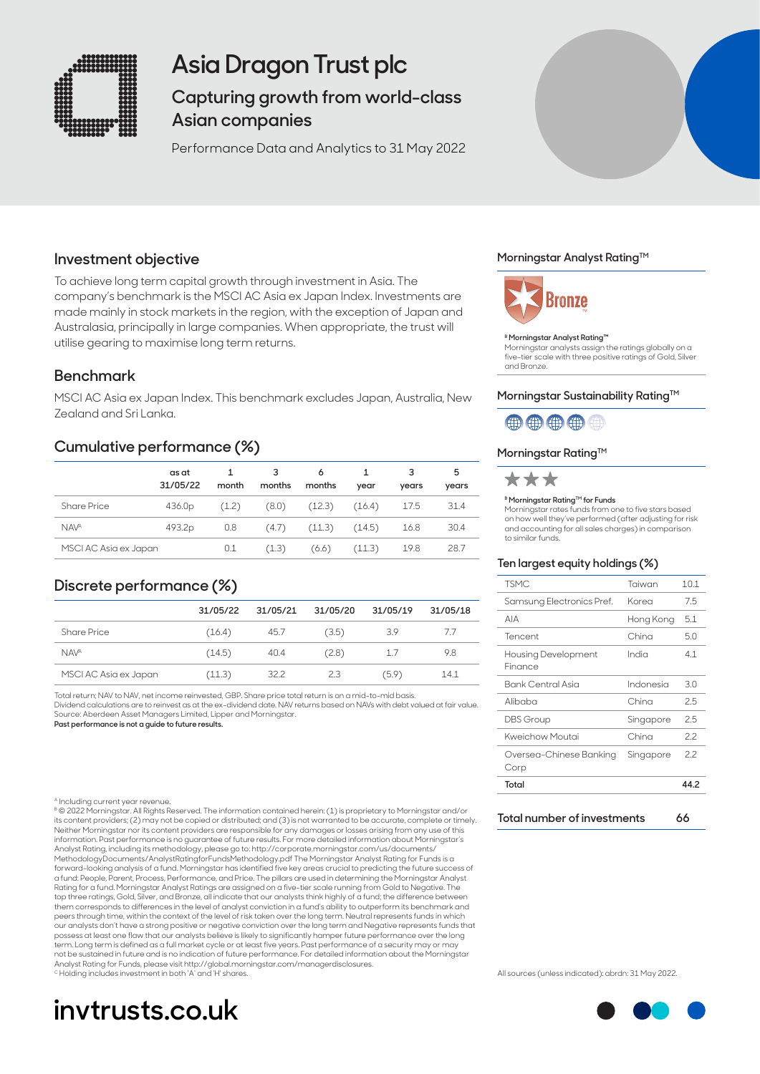

## **Asia Dragon Trust plc**

**Capturing growth from world-class Asian companies** 

Performance Data and Analytics to 31 May 2022



### **Investment objective**

To achieve long term capital growth through investment in Asia. The company's benchmark is the MSCI AC Asia ex Japan Index. Investments are made mainly in stock markets in the region, with the exception of Japan and Australasia, principally in large companies. When appropriate, the trust will utilise gearing to maximise long term returns.

### **Benchmark**

MSCI AC Asia ex Japan Index. This benchmark excludes Japan, Australia, New Zealand and Sri Lanka.

## **Cumulative performance (%)**

|                       | as at<br>31/05/22 | month | 3<br>months | 6<br>months      | vear   | vears | 5<br>years |
|-----------------------|-------------------|-------|-------------|------------------|--------|-------|------------|
| <b>Share Price</b>    | 436.0p            | (1.2) | (8.0)       | (12.3)           | (16.4) | 17.5  | 31.4       |
| <b>NAVA</b>           | 493.2p            | 0.8   |             | $(4.7)$ $(11.3)$ | (14.5) | 16.8  | 30.4       |
| MSCI AC Asia ex Japan |                   | 0.1   | (1.3)       | (6.6)            | (11.3) | 19.8  | 28.7       |

## **Discrete performance (%)**

|                       | 31/05/22 | 31/05/21 | 31/05/20 | 31/05/19 | 31/05/18 |
|-----------------------|----------|----------|----------|----------|----------|
| <b>Share Price</b>    | (16.4)   | 45.7     | (3.5)    | 3.9      | 7.7      |
| NAV <sup>A</sup>      | (14.5)   | 40.4     | (2.8)    | -1.7     | 9.8      |
| MSCI AC Asia ex Japan | (11.3)   | 32.2     | 2.3      | (5.9)    | 14.1     |

Total return; NAV to NAV, net income reinvested, GBP. Share price total return is on a mid-to-mid basis.

Dividend calculations are to reinvest as at the ex-dividend date. NAV returns based on NAVs with debt valued at fair value. Source: Aberdeen Asset Managers Limited, Lipper and Morningstar.

**Past performance is not a guide to future results.**

#### ncluding current year revenue

B © 2022 Morningstar. All Rights Reserved. The information contained herein: (1) is proprietary to Morningstar and/or its content providers; (2) may not be copied or distributed; and (3) is not warranted to be accurate, complete or timely. Neither Morningstar nor its content providers are responsible for any damages or losses arising from any use of this information. Past performance is no guarantee of future results. For more detailed information about Morningstar's Analyst Rating, including its methodology, please go to: http://corporate.morningstar.com/us/documents/ MethodologyDocuments/AnalystRatingforFundsMethodology.pdf The Morningstar Analyst Rating for Funds is a forward-looking analysis of a fund. Morningstar has identified five key areas crucial to predicting the future success of<br>a fund: People, Parent, Process, Performance, and Price. The pillars are used in determining the Mor Rating for a fund. Morningstar Analyst Ratings are assigned on a five-tier scale running from Gold to Negative. The top three ratings, Gold, Silver, and Bronze, all indicate that our analysts think highly of a fund; the difference between<br>them corresponds to differences in the level of analyst conviction in a fund's ability to outperfor peers through time, within the context of the level of risk taken over the long term. Neutral represents funds in which our analysts don't have a strong positive or negative conviction over the long term and Negative represents funds that<br>possess at least one flaw that our analysts believe is likely to significantly hamper future performanc term. Long term is defined as a full market cycle or at least five years. Past performance of a security may or may not be sustained in future and is no indication of future performance. For detailed information about the Morningstar Analyst Rating for Funds, please visit http://global.morningstar.com/managerdisclosures. C Holding includes investment in both 'A' and 'H' shares.

## **invtrusts.co.uk**

#### **Morningstar Analyst RatingTM**



#### **B Morningstar Analyst Rating™**

Morningstar analysts assign the ratings globally on a five-tier scale with three positive ratings of Gold, Silver and Bronze.

#### Morningstar Sustainability Rating<sup>™</sup>



#### **Morningstar Rating™**



#### **B Morningstar Rating™ for Funds**

Morningstar rates funds from one to five stars based on how well they've performed (after adjusting for risk and accounting for all sales charges) in comparison to similar funds.

#### **Ten largest equity holdings (%)**

| <b>TSMC</b>                     | Taiwan    | 10.1 |
|---------------------------------|-----------|------|
| Samsung Electronics Pref.       | Korea     | 7.5  |
| AIA                             | Hong Kong | 5.1  |
| Tencent                         | China     | 5.0  |
| Housing Development<br>Finance  | India     | 41   |
| Bank Central Asia               | Indonesia | 3.0  |
| Alibaba                         | China     | 2.5  |
| DBS Group                       | Singapore | 2.5  |
| Kweichow Moutai                 | China     | 22   |
| Oversea-Chinese Banking<br>Corp | Singapore | 22   |
| Total                           |           | 44.2 |

**Total number of investments 66**

All sources (unless indicated): abrdn: 31 May 2022.

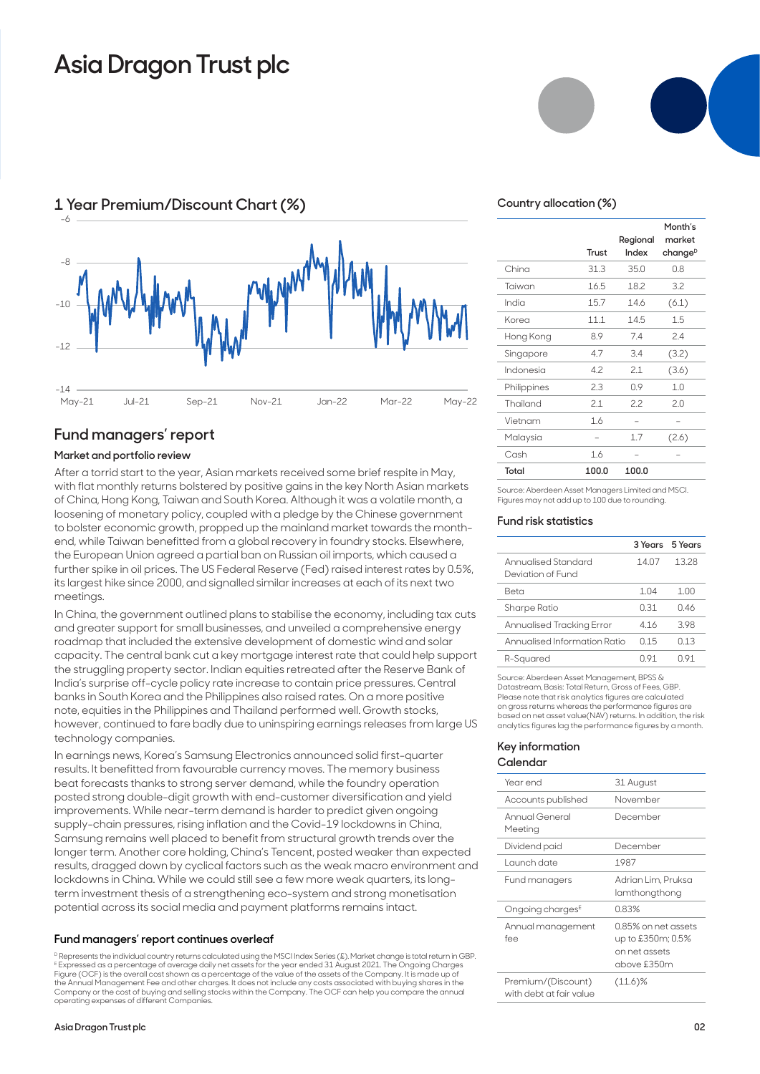## **Asia Dragon Trust plc**



## **1 Year Premium/Discount Chart (%)**

### **Fund managers' report**

#### **Market and portfolio review**

After a torrid start to the year, Asian markets received some brief respite in May, with flat monthly returns bolstered by positive gains in the key North Asian markets of China, Hong Kong, Taiwan and South Korea. Although it was a volatile month, a loosening of monetary policy, coupled with a pledge by the Chinese government to bolster economic growth, propped up the mainland market towards the monthend, while Taiwan benefitted from a global recovery in foundry stocks. Elsewhere, the European Union agreed a partial ban on Russian oil imports, which caused a further spike in oil prices. The US Federal Reserve (Fed) raised interest rates by 0.5%, its largest hike since 2000, and signalled similar increases at each of its next two meetings.

In China, the government outlined plans to stabilise the economy, including tax cuts and greater support for small businesses, and unveiled a comprehensive energy roadmap that included the extensive development of domestic wind and solar capacity. The central bank cut a key mortgage interest rate that could help support the struggling property sector. Indian equities retreated after the Reserve Bank of India's surprise off-cycle policy rate increase to contain price pressures. Central banks in South Korea and the Philippines also raised rates. On a more positive note, equities in the Philippines and Thailand performed well. Growth stocks, however, continued to fare badly due to uninspiring earnings releases from large US technology companies.

In earnings news, Korea's Samsung Electronics announced solid first-quarter results. It benefitted from favourable currency moves. The memory business beat forecasts thanks to strong server demand, while the foundry operation posted strong double-digit growth with end-customer diversification and yield improvements. While near-term demand is harder to predict given ongoing supply-chain pressures, rising inflation and the Covid-19 lockdowns in China, Samsung remains well placed to benefit from structural growth trends over the longer term. Another core holding, China's Tencent, posted weaker than expected results, dragged down by cyclical factors such as the weak macro environment and lockdowns in China. While we could still see a few more weak quarters, its longterm investment thesis of a strengthening eco-system and strong monetisation potential across its social media and payment platforms remains intact.

#### **Fund managers' report continues overleaf**

D Represents the individual country returns calculated using the MSCI Index Series (£). Market change is total return in GBP <sup>E</sup> Expressed as a percentage of average daily net assets for the year ended 31 August 2021. The Ongoing Charges<br>Figure (OCF) is the overall cost shown as a percentage of the value of the assets of the Company. It is made the Annual Management Fee and other charges. It does not include any costs associated with buying shares in the Company or the cost of buying and selling stocks within the Company. The OCF can help you compare the annual operating expenses of different Companie



#### **Country allocation (%)**

|             | Trust | Regional<br>Index | Month's<br>market<br>change <sup>D</sup> |
|-------------|-------|-------------------|------------------------------------------|
| China       | 31.3  | 35.0              | 0.8                                      |
| Taiwan      | 16.5  | 18.2              | 3.2                                      |
| India       | 15.7  | 14.6              | (6.1)                                    |
| Korea       | 11.1  | 14.5              | 1.5                                      |
| Hong Kong   | 8.9   | 74                | 24                                       |
| Singapore   | 4.7   | 3.4               | (3.2)                                    |
| Indonesia   | 4.2   | 2.1               | (3.6)                                    |
| Philippines | 2.3   | 0.9               | 1.0                                      |
| Thailand    | 2.1   | 22                | 2.0                                      |
| Vietnam     | 1.6   |                   |                                          |
| Malaysia    |       | 1.7               | (2.6)                                    |
| Cash        | 1.6   |                   |                                          |
| Total       | 100.0 | 100.0             |                                          |

Source: Aberdeen Asset Managers Limited and MSCI. Figures may not add up to 100 due to rounding.

#### **Fund risk statistics**

|                                          |       | 3 Years 5 Years |
|------------------------------------------|-------|-----------------|
| Annualised Standard<br>Deviation of Fund | 1407  | 1328            |
| Reta                                     | 1 0 4 | 1 N N           |
| Sharpe Ratio                             | 0.31  | 046             |
| Annualised Tracking Error                | 416   | 398             |
| Annualised Information Ratio             | በ 15  | 013             |
| R-Squared                                | N 91  | N 91            |

Source: Aberdeen Asset Management, BPSS & Datastream, Basis: Total Return, Gross of Fees, GBP. Please note that risk analytics figures are calculated on gross returns whereas the performance figures are based on net asset value(NAV) returns. In addition, the risk analytics figures lag the performance figures by a month.

#### **Key information Calendar**

| Year end                                      | 31 August                                                                |
|-----------------------------------------------|--------------------------------------------------------------------------|
| Accounts published                            | November                                                                 |
| Annual General<br>Meeting                     | December                                                                 |
| Dividend paid                                 | December                                                                 |
| Launch date                                   | 1987                                                                     |
| Fund managers                                 | Adrian Lim, Pruksa<br>lamthongthong                                      |
| Ongoing charges <sup>E</sup>                  | 0.83%                                                                    |
| Annual management<br>fee                      | 0.85% on net assets<br>up to £350m; 0.5%<br>on net assets<br>above £350m |
| Premium/(Discount)<br>with debt at fair value | $(11.6)\%$                                                               |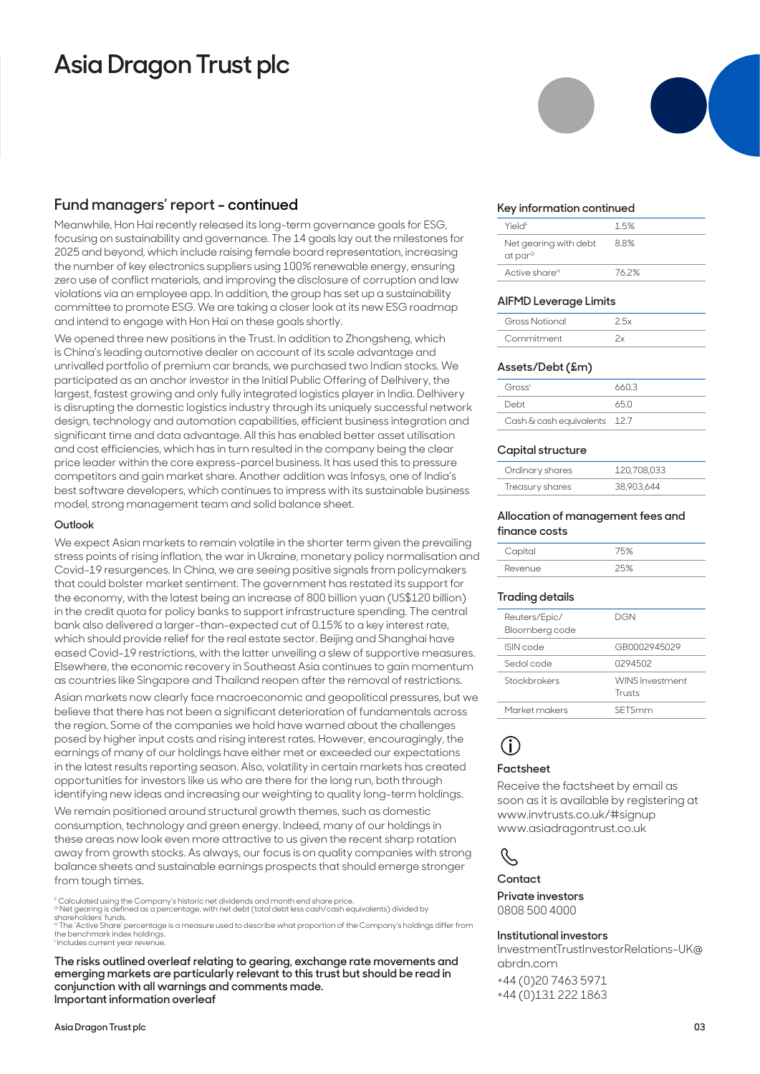## **Asia Dragon Trust plc**

### **Fund managers' report - continued**

Meanwhile, Hon Hai recently released its long-term governance goals for ESG, focusing on sustainability and governance. The 14 goals lay out the milestones for 2025 and beyond, which include raising female board representation, increasing the number of key electronics suppliers using 100% renewable energy, ensuring zero use of conflict materials, and improving the disclosure of corruption and law violations via an employee app. In addition, the group has set up a sustainability committee to promote ESG. We are taking a closer look at its new ESG roadmap and intend to engage with Hon Hai on these goals shortly.

We opened three new positions in the Trust. In addition to Zhongsheng, which is China's leading automotive dealer on account of its scale advantage and unrivalled portfolio of premium car brands, we purchased two Indian stocks. We participated as an anchor investor in the Initial Public Offering of Delhivery, the largest, fastest growing and only fully integrated logistics player in India. Delhivery is disrupting the domestic logistics industry through its uniquely successful network design, technology and automation capabilities, efficient business integration and significant time and data advantage. All this has enabled better asset utilisation and cost efficiencies, which has in turn resulted in the company being the clear price leader within the core express-parcel business. It has used this to pressure competitors and gain market share. Another addition was Infosys, one of India's best software developers, which continues to impress with its sustainable business model, strong management team and solid balance sheet.

#### **Outlook**

We expect Asian markets to remain volatile in the shorter term given the prevailing stress points of rising inflation, the war in Ukraine, monetary policy normalisation and Covid-19 resurgences. In China, we are seeing positive signals from policymakers that could bolster market sentiment. The government has restated its support for the economy, with the latest being an increase of 800 billion yuan (US\$120 billion) in the credit quota for policy banks to support infrastructure spending. The central bank also delivered a larger-than-expected cut of 0.15% to a key interest rate, which should provide relief for the real estate sector. Beijing and Shanghai have eased Covid-19 restrictions, with the latter unveiling a slew of supportive measures. Elsewhere, the economic recovery in Southeast Asia continues to gain momentum as countries like Singapore and Thailand reopen after the removal of restrictions.

Asian markets now clearly face macroeconomic and geopolitical pressures, but we believe that there has not been a significant deterioration of fundamentals across the region. Some of the companies we hold have warned about the challenges posed by higher input costs and rising interest rates. However, encouragingly, the earnings of many of our holdings have either met or exceeded our expectations in the latest results reporting season. Also, volatility in certain markets has created opportunities for investors like us who are there for the long run, both through identifying new ideas and increasing our weighting to quality long-term holdings.

We remain positioned around structural growth themes, such as domestic consumption, technology and green energy. Indeed, many of our holdings in these areas now look even more attractive to us given the recent sharp rotation away from growth stocks. As always, our focus is on quality companies with strong balance sheets and sustainable earnings prospects that should emerge stronger from tough times.

F Calculated using the Company's historic net dividends and month end share price.

<sup>6</sup> Net gearing is defined as a percentage, with net debt (total debt less cash/cash equivalents) divided by<br>shareholders' funds.

<sup>н</sup> The 'Active Share' percentage is a measure used to describe what proportion of the Company's holdings differ from<br>the benchmark index holdings.<br>' Includes current year revenue.

**The risks outlined overleaf relating to gearing, exchange rate movements and emerging markets are particularly relevant to this trust but should be read in conjunction with all warnings and comments made. Important information overleaf**

#### **Key information continued**

| Yield <sup>F</sup>                           | 1.5% |
|----------------------------------------------|------|
| Net gearing with debt<br>at par <sup>G</sup> | 88%  |
| Active share <sup>H</sup>                    | 762% |

### **AIFMD Leverage Limits**

| Gross Notional |  |
|----------------|--|
| Commitment     |  |

#### **Assets/Debt (£m)**

| Gross                        | 660.3 |
|------------------------------|-------|
| Debt                         | 65 N  |
| Cash & cash equivalents 12.7 |       |

#### **Capital structure**

| Ordinary shares | 120.708.033 |
|-----------------|-------------|
| Treasury shares | 38.903.644  |

#### **Allocation of management fees and finance costs**

| Capital | 75% |
|---------|-----|
| Revenue | 25% |

### **Trading details**

| Reuters/Epic/<br>Bloomberg code | DGN                              |
|---------------------------------|----------------------------------|
| ISIN code                       | GB0002945029                     |
| Sedol code                      | 0294502                          |
| Stockbrokers                    | <b>WINS Investment</b><br>Trusts |
| Market makers                   | SETSmm                           |
|                                 |                                  |

## **i**

#### **Factsheet**

Receive the factsheet by email as soon as it is available by registering at www.invtrusts.co.uk/#signup www.asiadragontrust.co.uk



**Contact**

**Private investors**  0808 500 4000

#### **Institutional investors**

InvestmentTrustInvestorRelations-UK@ abrdn.com

+44 (0)20 7463 5971 +44 (0)131 222 1863